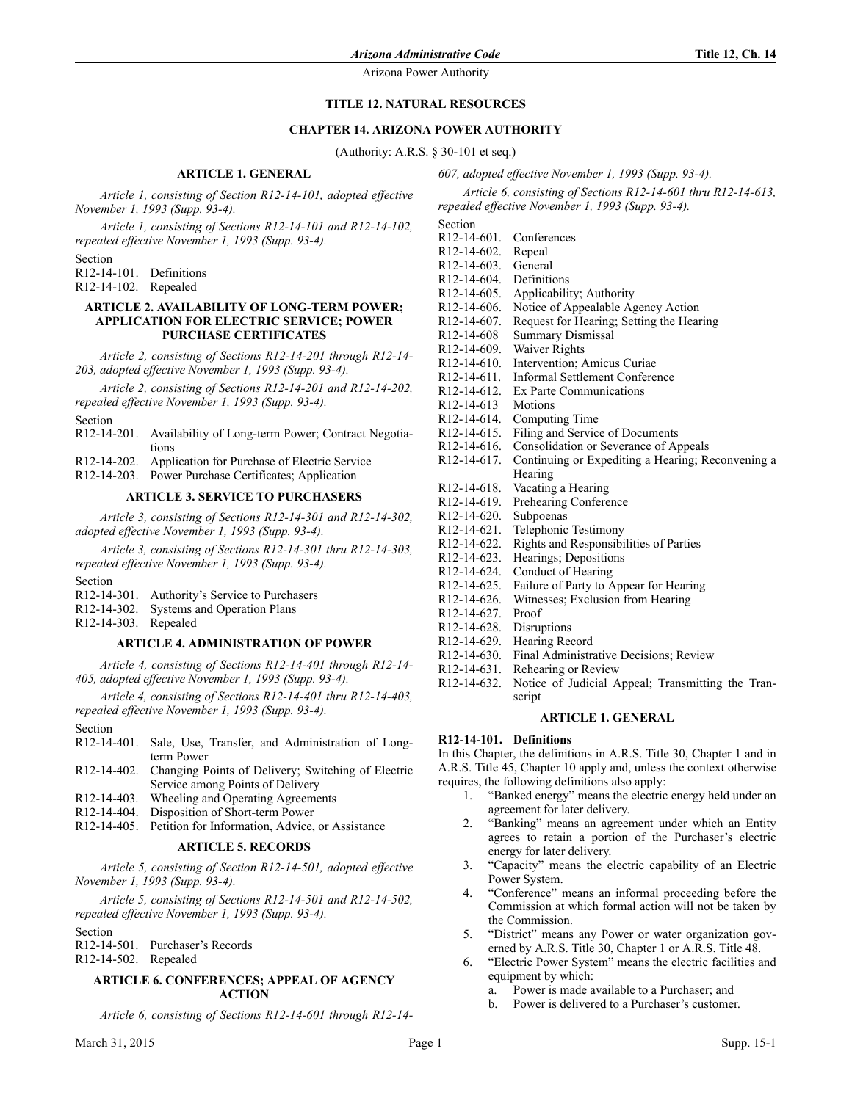# **TITLE 12. NATURAL RESOURCES**

# **CHAPTER 14. ARIZONA POWER AUTHORITY**

(Authority: A.R.S. § 30-101 et seq.)

Section

R12-14-601. Conferences R12-14-602. Repeal

# **ARTICLE 1. GENERAL**

*Article 1, consisting of Section R12-14-101, adopted effective November 1, 1993 (Supp. 93-4).*

*Article 1, consisting of Sections R12-14-101 and R12-14-102, repealed effective November 1, 1993 (Supp. 93-4).*

Section

R12-14-101. Definitions R12-14-102. Repealed

## **ARTICLE 2. AVAILABILITY OF LONG-TERM POWER; APPLICATION FOR ELECTRIC SERVICE; POWER PURCHASE CERTIFICATES**

*Article 2, consisting of Sections R12-14-201 through R12-14- 203, adopted effective November 1, 1993 (Supp. 93-4).*

*Article 2, consisting of Sections R12-14-201 and R12-14-202, repealed effective November 1, 1993 (Supp. 93-4).*

Section

R12-14-201. Availability of Long-term Power; Contract Negotiations

R12-14-202. Application for Purchase of Electric Service

R12-14-203. Power Purchase Certificates; Application

## **ARTICLE 3. SERVICE TO PURCHASERS**

*Article 3, consisting of Sections R12-14-301 and R12-14-302, adopted effective November 1, 1993 (Supp. 93-4).*

*Article 3, consisting of Sections R12-14-301 thru R12-14-303, repealed effective November 1, 1993 (Supp. 93-4).*

Section

|  | R12-14-301. Authority's Service to Purchasers |
|--|-----------------------------------------------|
|--|-----------------------------------------------|

R12-14-302. Systems and Operation Plans

R12-14-303. Repealed

# **ARTICLE 4. ADMINISTRATION OF POWER**

*Article 4, consisting of Sections R12-14-401 through R12-14- 405, adopted effective November 1, 1993 (Supp. 93-4).*

*Article 4, consisting of Sections R12-14-401 thru R12-14-403, repealed effective November 1, 1993 (Supp. 93-4).*

#### Section

- R12-14-401. Sale, Use, Transfer, and Administration of Longterm Power
- R12-14-402. Changing Points of Delivery; Switching of Electric Service among Points of Delivery
- R12-14-403. Wheeling and Operating Agreements
- R12-14-404. Disposition of Short-term Power
- R12-14-405. Petition for Information, Advice, or Assistance

# **ARTICLE 5. RECORDS**

*Article 5, consisting of Section R12-14-501, adopted effective November 1, 1993 (Supp. 93-4).*

*Article 5, consisting of Sections R12-14-501 and R12-14-502, repealed effective November 1, 1993 (Supp. 93-4).*

Section

- R12-14-501. Purchaser's Records
- R12-14-502. Repealed

## **ARTICLE 6. CONFERENCES; APPEAL OF AGENCY ACTION**

*Article 6, consisting of Sections R12-14-601 through R12-14-*

| R <sub>12</sub> -14-603. | General                                           |
|--------------------------|---------------------------------------------------|
| R <sub>12</sub> -14-604  | Definitions                                       |
| R <sub>12</sub> -14-605. | Applicability; Authority                          |
| R <sub>12</sub> -14-606. | Notice of Appealable Agency Action                |
| R <sub>12</sub> -14-607. | Request for Hearing; Setting the Hearing          |
| R <sub>12</sub> -14-608  | <b>Summary Dismissal</b>                          |
| R <sub>12</sub> -14-609. | Waiver Rights                                     |
| R <sub>12</sub> -14-610. | Intervention; Amicus Curiae                       |
| R <sub>12</sub> -14-611. | <b>Informal Settlement Conference</b>             |
| $R12 - 14 - 612$         | Ex Parte Communications                           |
| R <sub>12</sub> -14-613  | Motions                                           |
| R <sub>12</sub> -14-614. | Computing Time                                    |
| R <sub>12</sub> -14-615. | Filing and Service of Documents                   |
| R <sub>12</sub> -14-616. | Consolidation or Severance of Appeals             |
| R <sub>12</sub> -14-617. | Continuing or Expediting a Hearing; Reconvening a |
|                          | Hearing                                           |
| R <sub>12</sub> -14-618. | Vacating a Hearing                                |
| R <sub>12</sub> -14-619. | Prehearing Conference                             |
| $R12 - 14 - 620$         | Subpoenas                                         |
| R <sub>12</sub> -14-621. | Telephonic Testimony                              |
| R <sub>12</sub> -14-622. | Rights and Responsibilities of Parties            |
| R <sub>12</sub> -14-623. | Hearings; Depositions                             |
| R <sub>12</sub> -14-624. | Conduct of Hearing                                |
| R <sub>12</sub> -14-625. | Failure of Party to Appear for Hearing            |
| R <sub>12</sub> -14-626. | Witnesses; Exclusion from Hearing                 |
| R <sub>12</sub> -14-627. | Proof                                             |
| R <sub>12</sub> -14-628. | Disruptions                                       |
| R <sub>12</sub> -14-629. | Hearing Record                                    |
| R <sub>12</sub> -14-630. | Final Administrative Decisions; Review            |
|                          |                                                   |

*607, adopted effective November 1, 1993 (Supp. 93-4).*

*repealed effective November 1, 1993 (Supp. 93-4).*

*Article 6, consisting of Sections R12-14-601 thru R12-14-613,*

- R12-14-631. Rehearing or Review
- R12-14-632. Notice of Judicial Appeal; Transmitting the Transcript

## **ARTICLE 1. GENERAL**

# **R12-14-101. Definitions**

In this Chapter, the definitions in A.R.S. Title 30, Chapter 1 and in A.R.S. Title 45, Chapter 10 apply and, unless the context otherwise requires, the following definitions also apply:

- 1. "Banked energy" means the electric energy held under an agreement for later delivery.
- 2. "Banking" means an agreement under which an Entity agrees to retain a portion of the Purchaser's electric energy for later delivery.
- 3. "Capacity" means the electric capability of an Electric Power System.
- 4. "Conference" means an informal proceeding before the Commission at which formal action will not be taken by the Commission.
- 5. "District" means any Power or water organization governed by A.R.S. Title 30, Chapter 1 or A.R.S. Title 48.
- 6. "Electric Power System" means the electric facilities and equipment by which:
	- a. Power is made available to a Purchaser; and
	- b. Power is delivered to a Purchaser's customer.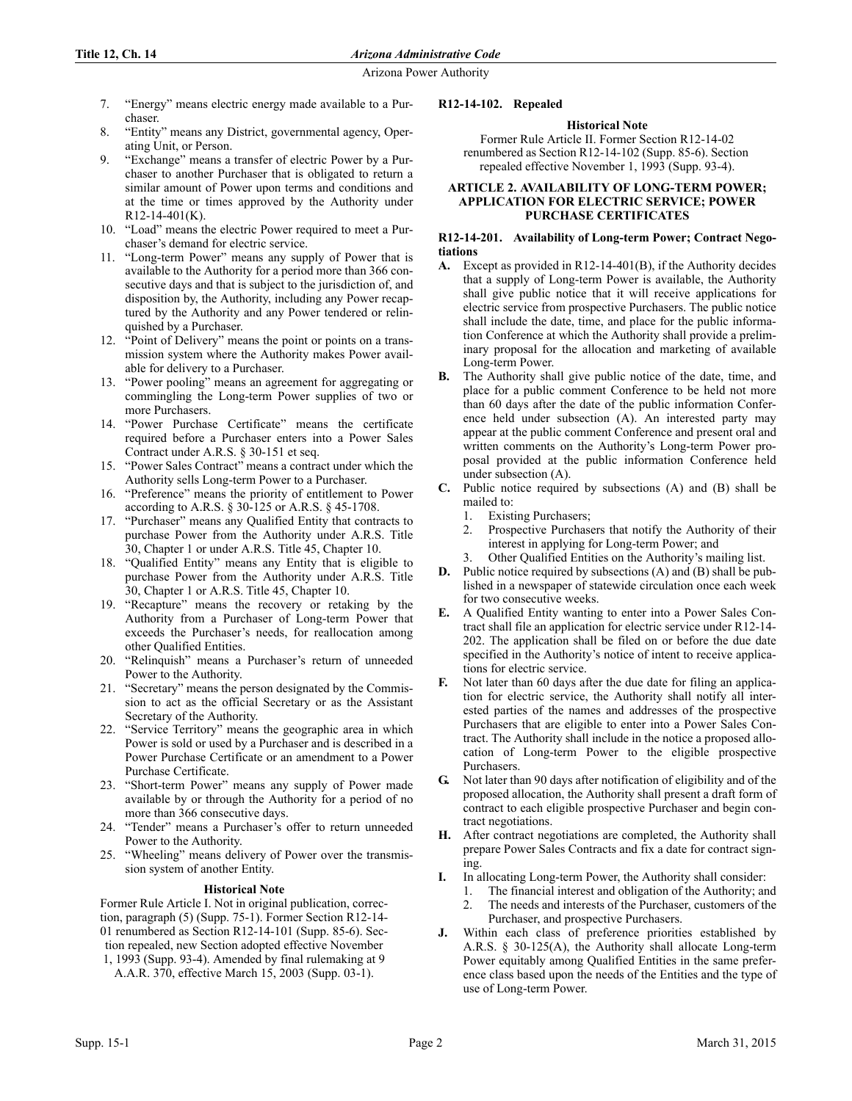- 7. "Energy" means electric energy made available to a Purchaser.
- 8. "Entity" means any District, governmental agency, Operating Unit, or Person.
- 9. "Exchange" means a transfer of electric Power by a Purchaser to another Purchaser that is obligated to return a similar amount of Power upon terms and conditions and at the time or times approved by the Authority under R12-14-401(K).
- 10. "Load" means the electric Power required to meet a Purchaser's demand for electric service.
- 11. "Long-term Power" means any supply of Power that is available to the Authority for a period more than 366 consecutive days and that is subject to the jurisdiction of, and disposition by, the Authority, including any Power recaptured by the Authority and any Power tendered or relinquished by a Purchaser.
- 12. "Point of Delivery" means the point or points on a transmission system where the Authority makes Power available for delivery to a Purchaser.
- 13. "Power pooling" means an agreement for aggregating or commingling the Long-term Power supplies of two or more Purchasers.
- 14. "Power Purchase Certificate" means the certificate required before a Purchaser enters into a Power Sales Contract under A.R.S. § 30-151 et seq.
- 15. "Power Sales Contract" means a contract under which the Authority sells Long-term Power to a Purchaser.
- 16. "Preference" means the priority of entitlement to Power according to A.R.S. § 30-125 or A.R.S. § 45-1708.
- 17. "Purchaser" means any Qualified Entity that contracts to purchase Power from the Authority under A.R.S. Title 30, Chapter 1 or under A.R.S. Title 45, Chapter 10.
- 18. "Qualified Entity" means any Entity that is eligible to purchase Power from the Authority under A.R.S. Title 30, Chapter 1 or A.R.S. Title 45, Chapter 10.
- 19. "Recapture" means the recovery or retaking by the Authority from a Purchaser of Long-term Power that exceeds the Purchaser's needs, for reallocation among other Qualified Entities.
- 20. "Relinquish" means a Purchaser's return of unneeded Power to the Authority.
- 21. "Secretary" means the person designated by the Commission to act as the official Secretary or as the Assistant Secretary of the Authority.
- 22. "Service Territory" means the geographic area in which Power is sold or used by a Purchaser and is described in a Power Purchase Certificate or an amendment to a Power Purchase Certificate.
- 23. "Short-term Power" means any supply of Power made available by or through the Authority for a period of no more than 366 consecutive days.
- 24. "Tender" means a Purchaser's offer to return unneeded Power to the Authority.
- 25. "Wheeling" means delivery of Power over the transmission system of another Entity.

## **Historical Note**

Former Rule Article I. Not in original publication, correction, paragraph (5) (Supp. 75-1). Former Section R12-14- 01 renumbered as Section R12-14-101 (Supp. 85-6). Section repealed, new Section adopted effective November 1, 1993 (Supp. 93-4). Amended by final rulemaking at 9 A.A.R. 370, effective March 15, 2003 (Supp. 03-1).

# **Historical Note**

**R12-14-102. Repealed**

Former Rule Article II. Former Section R12-14-02 renumbered as Section R12-14-102 (Supp. 85-6). Section repealed effective November 1, 1993 (Supp. 93-4).

## **ARTICLE 2. AVAILABILITY OF LONG-TERM POWER; APPLICATION FOR ELECTRIC SERVICE; POWER PURCHASE CERTIFICATES**

## **R12-14-201. Availability of Long-term Power; Contract Negotiations**

- **A.** Except as provided in R12-14-401(B), if the Authority decides that a supply of Long-term Power is available, the Authority shall give public notice that it will receive applications for electric service from prospective Purchasers. The public notice shall include the date, time, and place for the public information Conference at which the Authority shall provide a preliminary proposal for the allocation and marketing of available Long-term Power.
- **B.** The Authority shall give public notice of the date, time, and place for a public comment Conference to be held not more than 60 days after the date of the public information Conference held under subsection (A). An interested party may appear at the public comment Conference and present oral and written comments on the Authority's Long-term Power proposal provided at the public information Conference held under subsection (A).
- **C.** Public notice required by subsections (A) and (B) shall be mailed to:
	- 1. Existing Purchasers;
	- 2. Prospective Purchasers that notify the Authority of their interest in applying for Long-term Power; and
	- 3. Other Qualified Entities on the Authority's mailing list.
- **D.** Public notice required by subsections (A) and (B) shall be published in a newspaper of statewide circulation once each week for two consecutive weeks.
- **E.** A Qualified Entity wanting to enter into a Power Sales Contract shall file an application for electric service under R12-14- 202. The application shall be filed on or before the due date specified in the Authority's notice of intent to receive applications for electric service.
- **F.** Not later than 60 days after the due date for filing an application for electric service, the Authority shall notify all interested parties of the names and addresses of the prospective Purchasers that are eligible to enter into a Power Sales Contract. The Authority shall include in the notice a proposed allocation of Long-term Power to the eligible prospective Purchasers.
- **G.** Not later than 90 days after notification of eligibility and of the proposed allocation, the Authority shall present a draft form of contract to each eligible prospective Purchaser and begin contract negotiations.
- **H.** After contract negotiations are completed, the Authority shall prepare Power Sales Contracts and fix a date for contract signing.
- **I.** In allocating Long-term Power, the Authority shall consider:
	- 1. The financial interest and obligation of the Authority; and 2. The needs and interests of the Purchaser, customers of the
	- Purchaser, and prospective Purchasers.
- **J.** Within each class of preference priorities established by A.R.S. § 30-125(A), the Authority shall allocate Long-term Power equitably among Qualified Entities in the same preference class based upon the needs of the Entities and the type of use of Long-term Power.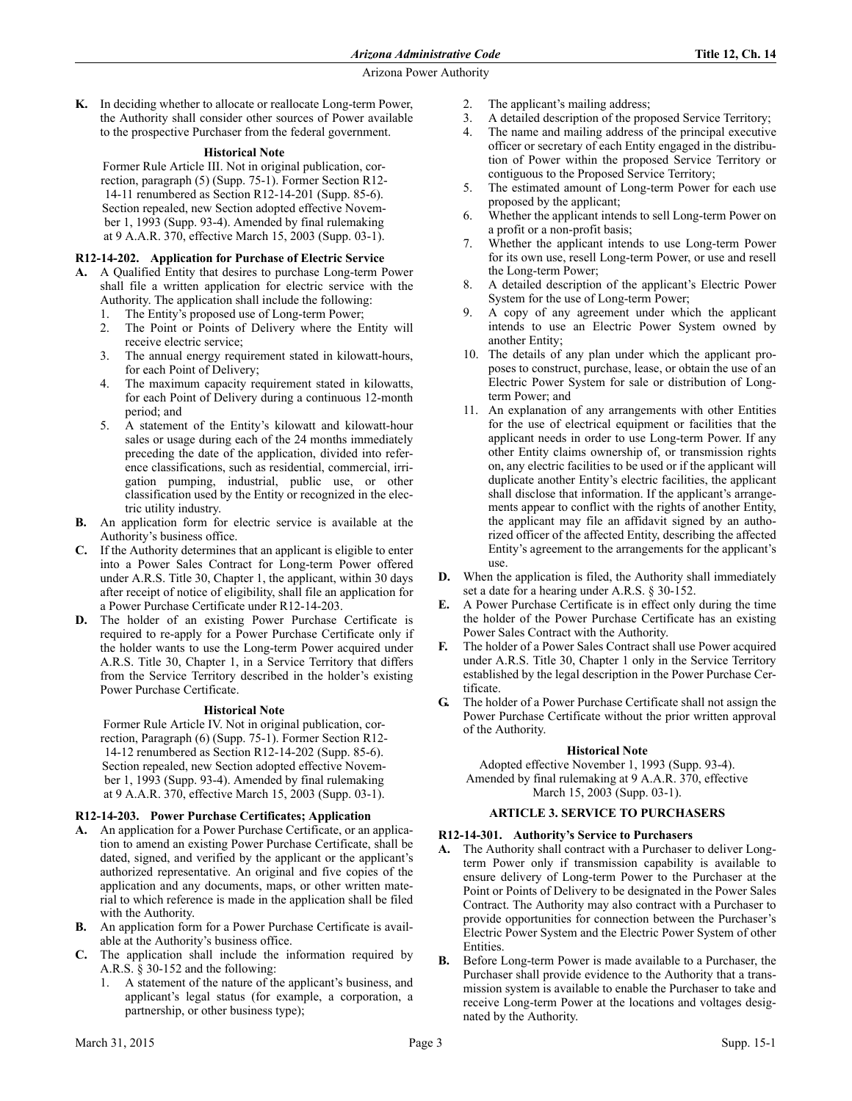**K.** In deciding whether to allocate or reallocate Long-term Power, the Authority shall consider other sources of Power available to the prospective Purchaser from the federal government.

# **Historical Note**

Former Rule Article III. Not in original publication, correction, paragraph (5) (Supp. 75-1). Former Section R12- 14-11 renumbered as Section R12-14-201 (Supp. 85-6). Section repealed, new Section adopted effective November 1, 1993 (Supp. 93-4). Amended by final rulemaking at 9 A.A.R. 370, effective March 15, 2003 (Supp. 03-1).

# **R12-14-202. Application for Purchase of Electric Service**

- **A.** A Qualified Entity that desires to purchase Long-term Power shall file a written application for electric service with the Authority. The application shall include the following:
	- 1. The Entity's proposed use of Long-term Power;
	- 2. The Point or Points of Delivery where the Entity will receive electric service;
	- 3. The annual energy requirement stated in kilowatt-hours, for each Point of Delivery;
	- 4. The maximum capacity requirement stated in kilowatts, for each Point of Delivery during a continuous 12-month period; and
	- 5. A statement of the Entity's kilowatt and kilowatt-hour sales or usage during each of the 24 months immediately preceding the date of the application, divided into reference classifications, such as residential, commercial, irrigation pumping, industrial, public use, or other classification used by the Entity or recognized in the electric utility industry.
- **B.** An application form for electric service is available at the Authority's business office.
- **C.** If the Authority determines that an applicant is eligible to enter into a Power Sales Contract for Long-term Power offered under A.R.S. Title 30, Chapter 1, the applicant, within 30 days after receipt of notice of eligibility, shall file an application for a Power Purchase Certificate under R12-14-203.
- **D.** The holder of an existing Power Purchase Certificate is required to re-apply for a Power Purchase Certificate only if the holder wants to use the Long-term Power acquired under A.R.S. Title 30, Chapter 1, in a Service Territory that differs from the Service Territory described in the holder's existing Power Purchase Certificate.

# **Historical Note**

Former Rule Article IV. Not in original publication, correction, Paragraph (6) (Supp. 75-1). Former Section R12- 14-12 renumbered as Section R12-14-202 (Supp. 85-6). Section repealed, new Section adopted effective November 1, 1993 (Supp. 93-4). Amended by final rulemaking at 9 A.A.R. 370, effective March 15, 2003 (Supp. 03-1).

# **R12-14-203. Power Purchase Certificates; Application**

- **A.** An application for a Power Purchase Certificate, or an application to amend an existing Power Purchase Certificate, shall be dated, signed, and verified by the applicant or the applicant's authorized representative. An original and five copies of the application and any documents, maps, or other written material to which reference is made in the application shall be filed with the Authority.
- **B.** An application form for a Power Purchase Certificate is available at the Authority's business office.
- **C.** The application shall include the information required by A.R.S. § 30-152 and the following:
	- 1. A statement of the nature of the applicant's business, and applicant's legal status (for example, a corporation, a partnership, or other business type);
- 2. The applicant's mailing address;
- 3. A detailed description of the proposed Service Territory;
- 4. The name and mailing address of the principal executive officer or secretary of each Entity engaged in the distribution of Power within the proposed Service Territory or contiguous to the Proposed Service Territory;
- 5. The estimated amount of Long-term Power for each use proposed by the applicant;
- 6. Whether the applicant intends to sell Long-term Power on a profit or a non-profit basis;
- 7. Whether the applicant intends to use Long-term Power for its own use, resell Long-term Power, or use and resell the Long-term Power;
- 8. A detailed description of the applicant's Electric Power System for the use of Long-term Power;
- 9. A copy of any agreement under which the applicant intends to use an Electric Power System owned by another Entity;
- 10. The details of any plan under which the applicant proposes to construct, purchase, lease, or obtain the use of an Electric Power System for sale or distribution of Longterm Power; and
- 11. An explanation of any arrangements with other Entities for the use of electrical equipment or facilities that the applicant needs in order to use Long-term Power. If any other Entity claims ownership of, or transmission rights on, any electric facilities to be used or if the applicant will duplicate another Entity's electric facilities, the applicant shall disclose that information. If the applicant's arrangements appear to conflict with the rights of another Entity, the applicant may file an affidavit signed by an authorized officer of the affected Entity, describing the affected Entity's agreement to the arrangements for the applicant's use.
- **D.** When the application is filed, the Authority shall immediately set a date for a hearing under A.R.S. § 30-152.
- **E.** A Power Purchase Certificate is in effect only during the time the holder of the Power Purchase Certificate has an existing Power Sales Contract with the Authority.
- **F.** The holder of a Power Sales Contract shall use Power acquired under A.R.S. Title 30, Chapter 1 only in the Service Territory established by the legal description in the Power Purchase Certificate.
- **G.** The holder of a Power Purchase Certificate shall not assign the Power Purchase Certificate without the prior written approval of the Authority.

# **Historical Note**

Adopted effective November 1, 1993 (Supp. 93-4). Amended by final rulemaking at 9 A.A.R. 370, effective March 15, 2003 (Supp. 03-1).

# **ARTICLE 3. SERVICE TO PURCHASERS**

# **R12-14-301. Authority's Service to Purchasers**

- **A.** The Authority shall contract with a Purchaser to deliver Longterm Power only if transmission capability is available to ensure delivery of Long-term Power to the Purchaser at the Point or Points of Delivery to be designated in the Power Sales Contract. The Authority may also contract with a Purchaser to provide opportunities for connection between the Purchaser's Electric Power System and the Electric Power System of other **Entities**
- **B.** Before Long-term Power is made available to a Purchaser, the Purchaser shall provide evidence to the Authority that a transmission system is available to enable the Purchaser to take and receive Long-term Power at the locations and voltages designated by the Authority.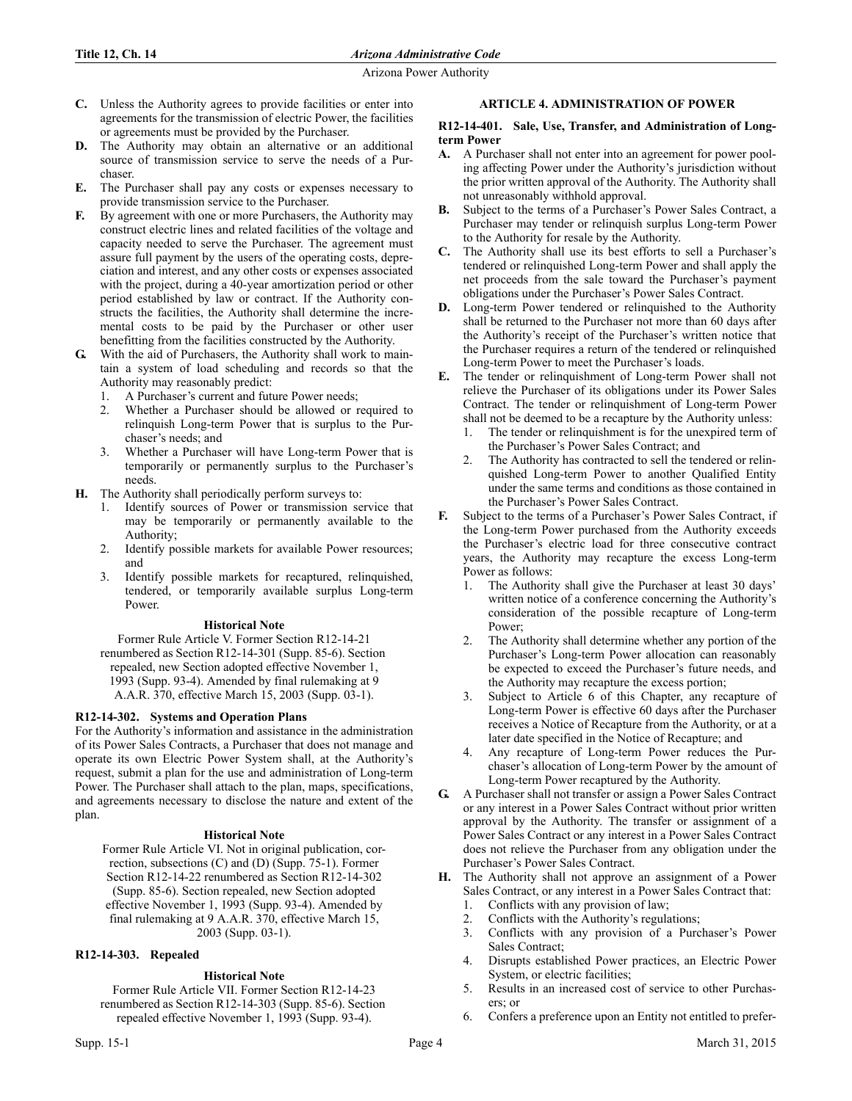- **C.** Unless the Authority agrees to provide facilities or enter into agreements for the transmission of electric Power, the facilities or agreements must be provided by the Purchaser.
- **D.** The Authority may obtain an alternative or an additional source of transmission service to serve the needs of a Purchaser.
- **E.** The Purchaser shall pay any costs or expenses necessary to provide transmission service to the Purchaser.
- **F.** By agreement with one or more Purchasers, the Authority may construct electric lines and related facilities of the voltage and capacity needed to serve the Purchaser. The agreement must assure full payment by the users of the operating costs, depreciation and interest, and any other costs or expenses associated with the project, during a 40-year amortization period or other period established by law or contract. If the Authority constructs the facilities, the Authority shall determine the incremental costs to be paid by the Purchaser or other user benefitting from the facilities constructed by the Authority.
- **G.** With the aid of Purchasers, the Authority shall work to maintain a system of load scheduling and records so that the Authority may reasonably predict:
	- 1. A Purchaser's current and future Power needs;
	- 2. Whether a Purchaser should be allowed or required to relinquish Long-term Power that is surplus to the Purchaser's needs; and
	- 3. Whether a Purchaser will have Long-term Power that is temporarily or permanently surplus to the Purchaser's needs.
- **H.** The Authority shall periodically perform surveys to:
	- 1. Identify sources of Power or transmission service that may be temporarily or permanently available to the Authority;
	- 2. Identify possible markets for available Power resources; and
	- 3. Identify possible markets for recaptured, relinquished, tendered, or temporarily available surplus Long-term Power.

## **Historical Note**

Former Rule Article V. Former Section R12-14-21 renumbered as Section R12-14-301 (Supp. 85-6). Section repealed, new Section adopted effective November 1, 1993 (Supp. 93-4). Amended by final rulemaking at 9 A.A.R. 370, effective March 15, 2003 (Supp. 03-1).

# **R12-14-302. Systems and Operation Plans**

For the Authority's information and assistance in the administration of its Power Sales Contracts, a Purchaser that does not manage and operate its own Electric Power System shall, at the Authority's request, submit a plan for the use and administration of Long-term Power. The Purchaser shall attach to the plan, maps, specifications, and agreements necessary to disclose the nature and extent of the plan.

# **Historical Note**

Former Rule Article VI. Not in original publication, correction, subsections (C) and (D) (Supp. 75-1). Former Section R12-14-22 renumbered as Section R12-14-302 (Supp. 85-6). Section repealed, new Section adopted effective November 1, 1993 (Supp. 93-4). Amended by final rulemaking at 9 A.A.R. 370, effective March 15, 2003 (Supp. 03-1).

# **R12-14-303. Repealed**

# **Historical Note**

Former Rule Article VII. Former Section R12-14-23 renumbered as Section R12-14-303 (Supp. 85-6). Section repealed effective November 1, 1993 (Supp. 93-4).

# **ARTICLE 4. ADMINISTRATION OF POWER**

## **R12-14-401. Sale, Use, Transfer, and Administration of Longterm Power**

- **A.** A Purchaser shall not enter into an agreement for power pooling affecting Power under the Authority's jurisdiction without the prior written approval of the Authority. The Authority shall not unreasonably withhold approval.
- **B.** Subject to the terms of a Purchaser's Power Sales Contract, a Purchaser may tender or relinquish surplus Long-term Power to the Authority for resale by the Authority.
- **C.** The Authority shall use its best efforts to sell a Purchaser's tendered or relinquished Long-term Power and shall apply the net proceeds from the sale toward the Purchaser's payment obligations under the Purchaser's Power Sales Contract.
- **D.** Long-term Power tendered or relinquished to the Authority shall be returned to the Purchaser not more than 60 days after the Authority's receipt of the Purchaser's written notice that the Purchaser requires a return of the tendered or relinquished Long-term Power to meet the Purchaser's loads.
- **E.** The tender or relinquishment of Long-term Power shall not relieve the Purchaser of its obligations under its Power Sales Contract. The tender or relinquishment of Long-term Power shall not be deemed to be a recapture by the Authority unless:
	- The tender or relinquishment is for the unexpired term of the Purchaser's Power Sales Contract; and
	- 2. The Authority has contracted to sell the tendered or relinquished Long-term Power to another Qualified Entity under the same terms and conditions as those contained in the Purchaser's Power Sales Contract.
- **F.** Subject to the terms of a Purchaser's Power Sales Contract, if the Long-term Power purchased from the Authority exceeds the Purchaser's electric load for three consecutive contract years, the Authority may recapture the excess Long-term Power as follows:
	- 1. The Authority shall give the Purchaser at least 30 days' written notice of a conference concerning the Authority's consideration of the possible recapture of Long-term Power;
	- 2. The Authority shall determine whether any portion of the Purchaser's Long-term Power allocation can reasonably be expected to exceed the Purchaser's future needs, and the Authority may recapture the excess portion;
	- 3. Subject to Article 6 of this Chapter, any recapture of Long-term Power is effective 60 days after the Purchaser receives a Notice of Recapture from the Authority, or at a later date specified in the Notice of Recapture; and
	- 4. Any recapture of Long-term Power reduces the Purchaser's allocation of Long-term Power by the amount of Long-term Power recaptured by the Authority.
- **G.** A Purchaser shall not transfer or assign a Power Sales Contract or any interest in a Power Sales Contract without prior written approval by the Authority. The transfer or assignment of a Power Sales Contract or any interest in a Power Sales Contract does not relieve the Purchaser from any obligation under the Purchaser's Power Sales Contract.
- **H.** The Authority shall not approve an assignment of a Power Sales Contract, or any interest in a Power Sales Contract that:
	- 1. Conflicts with any provision of law;
	- 2. Conflicts with the Authority's regulations;
	- 3. Conflicts with any provision of a Purchaser's Power Sales Contract;
	- 4. Disrupts established Power practices, an Electric Power System, or electric facilities;
	- 5. Results in an increased cost of service to other Purchasers; or
	- Confers a preference upon an Entity not entitled to prefer-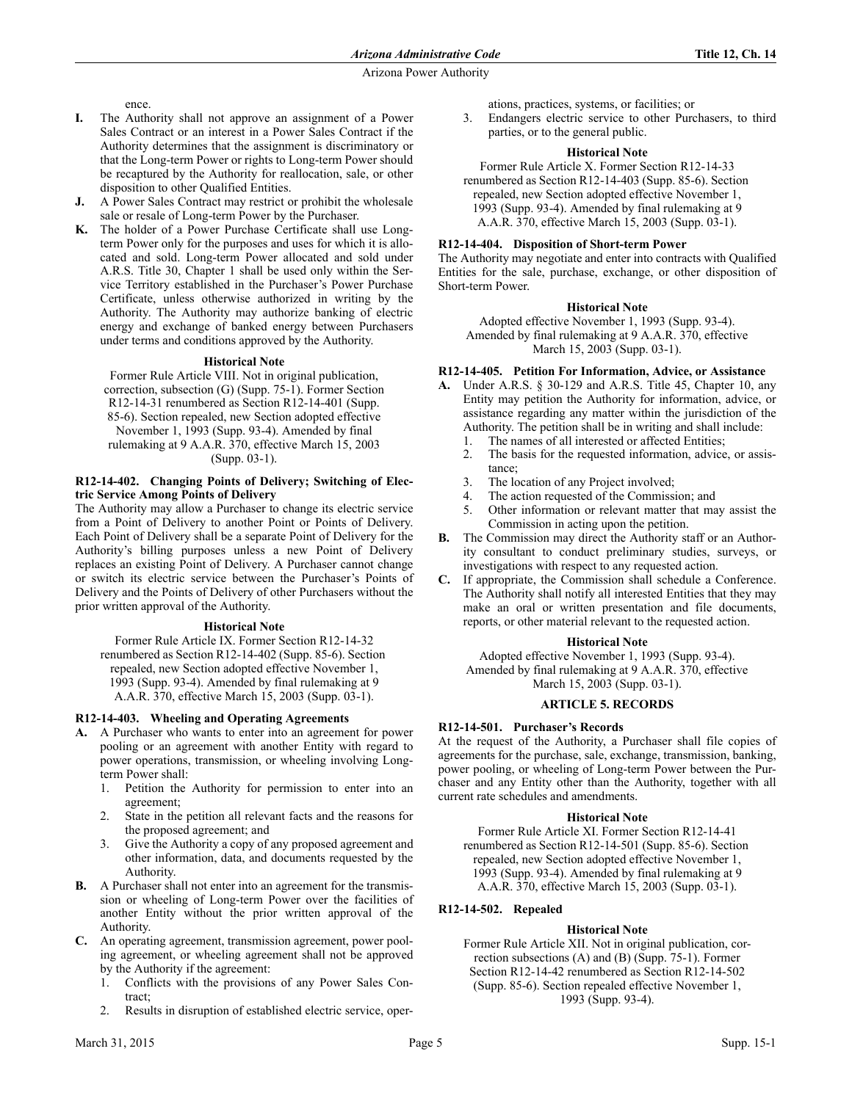ence.

- **I.** The Authority shall not approve an assignment of a Power Sales Contract or an interest in a Power Sales Contract if the Authority determines that the assignment is discriminatory or that the Long-term Power or rights to Long-term Power should be recaptured by the Authority for reallocation, sale, or other disposition to other Qualified Entities.
- **J.** A Power Sales Contract may restrict or prohibit the wholesale sale or resale of Long-term Power by the Purchaser.
- **K.** The holder of a Power Purchase Certificate shall use Longterm Power only for the purposes and uses for which it is allocated and sold. Long-term Power allocated and sold under A.R.S. Title 30, Chapter 1 shall be used only within the Service Territory established in the Purchaser's Power Purchase Certificate, unless otherwise authorized in writing by the Authority. The Authority may authorize banking of electric energy and exchange of banked energy between Purchasers under terms and conditions approved by the Authority.

## **Historical Note**

Former Rule Article VIII. Not in original publication, correction, subsection (G) (Supp. 75-1). Former Section R12-14-31 renumbered as Section R12-14-401 (Supp. 85-6). Section repealed, new Section adopted effective November 1, 1993 (Supp. 93-4). Amended by final rulemaking at 9 A.A.R. 370, effective March 15, 2003 (Supp. 03-1).

## **R12-14-402. Changing Points of Delivery; Switching of Electric Service Among Points of Delivery**

The Authority may allow a Purchaser to change its electric service from a Point of Delivery to another Point or Points of Delivery. Each Point of Delivery shall be a separate Point of Delivery for the Authority's billing purposes unless a new Point of Delivery replaces an existing Point of Delivery. A Purchaser cannot change or switch its electric service between the Purchaser's Points of Delivery and the Points of Delivery of other Purchasers without the prior written approval of the Authority.

# **Historical Note**

Former Rule Article IX. Former Section R12-14-32 renumbered as Section R12-14-402 (Supp. 85-6). Section repealed, new Section adopted effective November 1, 1993 (Supp. 93-4). Amended by final rulemaking at 9 A.A.R. 370, effective March 15, 2003 (Supp. 03-1).

# **R12-14-403. Wheeling and Operating Agreements**

- **A.** A Purchaser who wants to enter into an agreement for power pooling or an agreement with another Entity with regard to power operations, transmission, or wheeling involving Longterm Power shall:
	- 1. Petition the Authority for permission to enter into an agreement;
	- 2. State in the petition all relevant facts and the reasons for the proposed agreement; and
	- 3. Give the Authority a copy of any proposed agreement and other information, data, and documents requested by the Authority.
- **B.** A Purchaser shall not enter into an agreement for the transmission or wheeling of Long-term Power over the facilities of another Entity without the prior written approval of the Authority.
- **C.** An operating agreement, transmission agreement, power pooling agreement, or wheeling agreement shall not be approved by the Authority if the agreement:
	- 1. Conflicts with the provisions of any Power Sales Contract;
	- 2. Results in disruption of established electric service, oper-

ations, practices, systems, or facilities; or

3. Endangers electric service to other Purchasers, to third parties, or to the general public.

# **Historical Note**

Former Rule Article X. Former Section R12-14-33 renumbered as Section R12-14-403 (Supp. 85-6). Section repealed, new Section adopted effective November 1, 1993 (Supp. 93-4). Amended by final rulemaking at 9 A.A.R. 370, effective March 15, 2003 (Supp. 03-1).

# **R12-14-404. Disposition of Short-term Power**

The Authority may negotiate and enter into contracts with Qualified Entities for the sale, purchase, exchange, or other disposition of Short-term Power.

# **Historical Note**

Adopted effective November 1, 1993 (Supp. 93-4). Amended by final rulemaking at 9 A.A.R. 370, effective March 15, 2003 (Supp. 03-1).

# **R12-14-405. Petition For Information, Advice, or Assistance**

- **A.** Under A.R.S. § 30-129 and A.R.S. Title 45, Chapter 10, any Entity may petition the Authority for information, advice, or assistance regarding any matter within the jurisdiction of the Authority. The petition shall be in writing and shall include:
	- 1. The names of all interested or affected Entities;
	- 2. The basis for the requested information, advice, or assistance;
	- 3. The location of any Project involved;
	- 4. The action requested of the Commission; and
	- 5. Other information or relevant matter that may assist the Commission in acting upon the petition.
- **B.** The Commission may direct the Authority staff or an Authority consultant to conduct preliminary studies, surveys, or investigations with respect to any requested action.
- **C.** If appropriate, the Commission shall schedule a Conference. The Authority shall notify all interested Entities that they may make an oral or written presentation and file documents, reports, or other material relevant to the requested action.

## **Historical Note**

Adopted effective November 1, 1993 (Supp. 93-4). Amended by final rulemaking at 9 A.A.R. 370, effective March 15, 2003 (Supp. 03-1).

# **ARTICLE 5. RECORDS**

# **R12-14-501. Purchaser's Records**

At the request of the Authority, a Purchaser shall file copies of agreements for the purchase, sale, exchange, transmission, banking, power pooling, or wheeling of Long-term Power between the Purchaser and any Entity other than the Authority, together with all current rate schedules and amendments.

## **Historical Note**

Former Rule Article XI. Former Section R12-14-41 renumbered as Section R12-14-501 (Supp. 85-6). Section repealed, new Section adopted effective November 1, 1993 (Supp. 93-4). Amended by final rulemaking at 9 A.A.R. 370, effective March 15, 2003 (Supp. 03-1).

# **R12-14-502. Repealed**

# **Historical Note**

Former Rule Article XII. Not in original publication, correction subsections (A) and (B) (Supp. 75-1). Former Section R12-14-42 renumbered as Section R12-14-502 (Supp. 85-6). Section repealed effective November 1, 1993 (Supp. 93-4).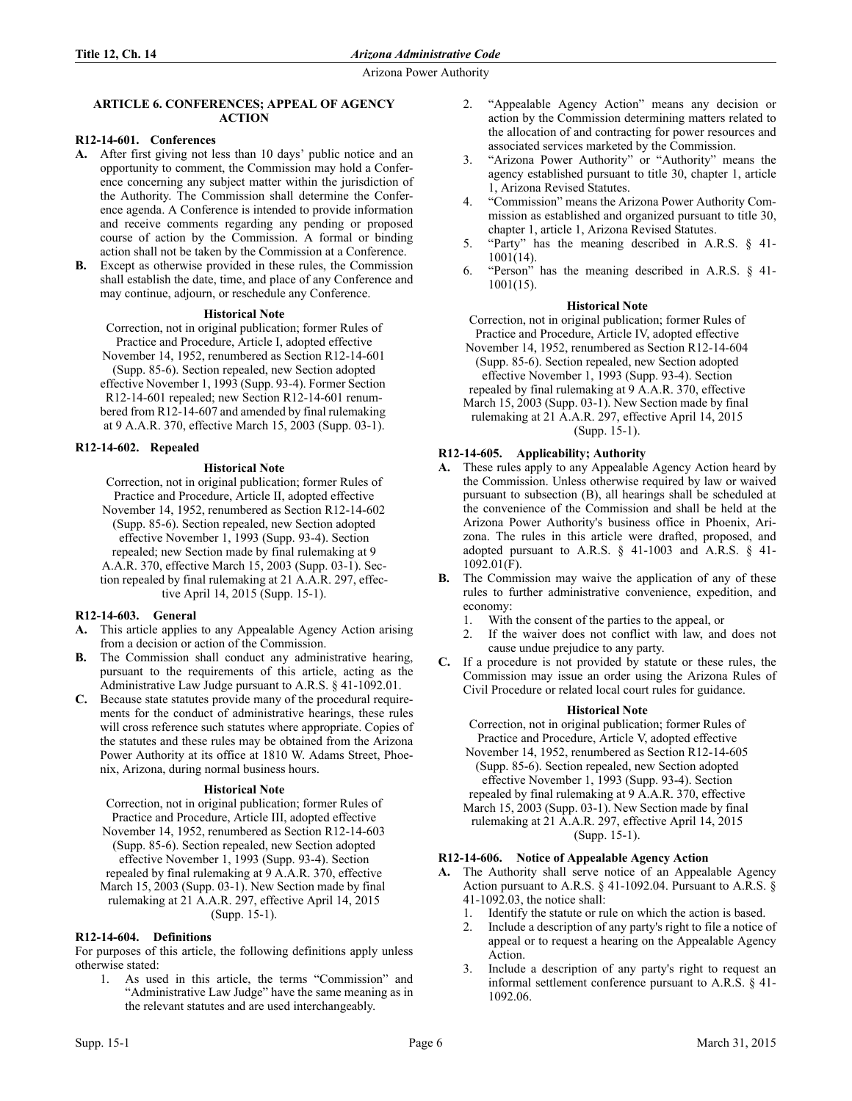## **ARTICLE 6. CONFERENCES; APPEAL OF AGENCY ACTION**

# **R12-14-601. Conferences**

- **A.** After first giving not less than 10 days' public notice and an opportunity to comment, the Commission may hold a Conference concerning any subject matter within the jurisdiction of the Authority. The Commission shall determine the Conference agenda. A Conference is intended to provide information and receive comments regarding any pending or proposed course of action by the Commission. A formal or binding action shall not be taken by the Commission at a Conference.
- **B.** Except as otherwise provided in these rules, the Commission shall establish the date, time, and place of any Conference and may continue, adjourn, or reschedule any Conference.

# **Historical Note**

Correction, not in original publication; former Rules of Practice and Procedure, Article I, adopted effective November 14, 1952, renumbered as Section R12-14-601 (Supp. 85-6). Section repealed, new Section adopted effective November 1, 1993 (Supp. 93-4). Former Section R12-14-601 repealed; new Section R12-14-601 renumbered from R12-14-607 and amended by final rulemaking at 9 A.A.R. 370, effective March 15, 2003 (Supp. 03-1).

# **R12-14-602. Repealed**

# **Historical Note**

Correction, not in original publication; former Rules of Practice and Procedure, Article II, adopted effective November 14, 1952, renumbered as Section R12-14-602 (Supp. 85-6). Section repealed, new Section adopted effective November 1, 1993 (Supp. 93-4). Section repealed; new Section made by final rulemaking at 9 A.A.R. 370, effective March 15, 2003 (Supp. 03-1). Section repealed by final rulemaking at 21 A.A.R. 297, effective April 14, 2015 (Supp. 15-1).

# **R12-14-603. General**

- **A.** This article applies to any Appealable Agency Action arising from a decision or action of the Commission.
- **B.** The Commission shall conduct any administrative hearing, pursuant to the requirements of this article, acting as the Administrative Law Judge pursuant to A.R.S. § 41-1092.01.
- **C.** Because state statutes provide many of the procedural requirements for the conduct of administrative hearings, these rules will cross reference such statutes where appropriate. Copies of the statutes and these rules may be obtained from the Arizona Power Authority at its office at 1810 W. Adams Street, Phoenix, Arizona, during normal business hours.

# **Historical Note**

Correction, not in original publication; former Rules of Practice and Procedure, Article III, adopted effective November 14, 1952, renumbered as Section R12-14-603 (Supp. 85-6). Section repealed, new Section adopted effective November 1, 1993 (Supp. 93-4). Section repealed by final rulemaking at 9 A.A.R. 370, effective March 15, 2003 (Supp. 03-1). New Section made by final rulemaking at 21 A.A.R. 297, effective April 14, 2015 (Supp. 15-1).

# **R12-14-604. Definitions**

For purposes of this article, the following definitions apply unless otherwise stated:

1. As used in this article, the terms "Commission" and "Administrative Law Judge" have the same meaning as in the relevant statutes and are used interchangeably.

- 2. "Appealable Agency Action" means any decision or action by the Commission determining matters related to the allocation of and contracting for power resources and associated services marketed by the Commission.
- 3. "Arizona Power Authority" or "Authority" means the agency established pursuant to title 30, chapter 1, article 1, Arizona Revised Statutes.
- 4. "Commission" means the Arizona Power Authority Commission as established and organized pursuant to title 30, chapter 1, article 1, Arizona Revised Statutes.
- 5. "Party" has the meaning described in A.R.S. § 41- 1001(14).
- "Person" has the meaning described in A.R.S.  $\S$  41-1001(15).

# **Historical Note**

Correction, not in original publication; former Rules of Practice and Procedure, Article IV, adopted effective

November 14, 1952, renumbered as Section R12-14-604 (Supp. 85-6). Section repealed, new Section adopted effective November 1, 1993 (Supp. 93-4). Section repealed by final rulemaking at 9 A.A.R. 370, effective March 15, 2003 (Supp. 03-1). New Section made by final rulemaking at 21 A.A.R. 297, effective April 14, 2015 (Supp. 15-1).

# **R12-14-605. Applicability; Authority**

- **A.** These rules apply to any Appealable Agency Action heard by the Commission. Unless otherwise required by law or waived pursuant to subsection (B), all hearings shall be scheduled at the convenience of the Commission and shall be held at the Arizona Power Authority's business office in Phoenix, Arizona. The rules in this article were drafted, proposed, and adopted pursuant to A.R.S. § 41-1003 and A.R.S. § 41- 1092.01(F).
- **B.** The Commission may waive the application of any of these rules to further administrative convenience, expedition, and economy:
	- 1. With the consent of the parties to the appeal, or
	- 2. If the waiver does not conflict with law, and does not cause undue prejudice to any party.
- **C.** If a procedure is not provided by statute or these rules, the Commission may issue an order using the Arizona Rules of Civil Procedure or related local court rules for guidance.

## **Historical Note**

Correction, not in original publication; former Rules of Practice and Procedure, Article V, adopted effective November 14, 1952, renumbered as Section R12-14-605 (Supp. 85-6). Section repealed, new Section adopted effective November 1, 1993 (Supp. 93-4). Section repealed by final rulemaking at 9 A.A.R. 370, effective March 15, 2003 (Supp. 03-1). New Section made by final rulemaking at 21 A.A.R. 297, effective April 14, 2015 (Supp. 15-1).

# **R12-14-606. Notice of Appealable Agency Action**

- **A.** The Authority shall serve notice of an Appealable Agency Action pursuant to A.R.S. § 41-1092.04. Pursuant to A.R.S. § 41-1092.03, the notice shall:
	- 1. Identify the statute or rule on which the action is based.
	- 2. Include a description of any party's right to file a notice of appeal or to request a hearing on the Appealable Agency Action.
	- 3. Include a description of any party's right to request an informal settlement conference pursuant to A.R.S. § 41- 1092.06.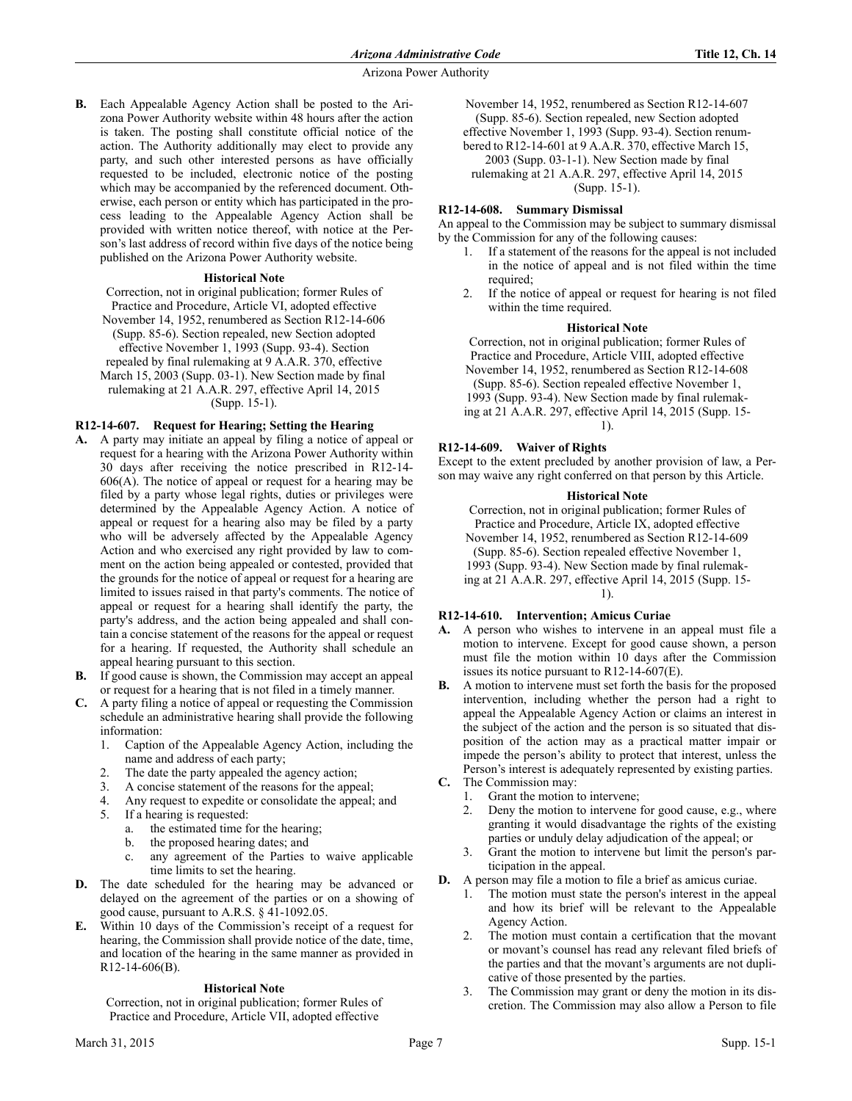**B.** Each Appealable Agency Action shall be posted to the Arizona Power Authority website within 48 hours after the action is taken. The posting shall constitute official notice of the action. The Authority additionally may elect to provide any party, and such other interested persons as have officially requested to be included, electronic notice of the posting which may be accompanied by the referenced document. Otherwise, each person or entity which has participated in the process leading to the Appealable Agency Action shall be provided with written notice thereof, with notice at the Person's last address of record within five days of the notice being published on the Arizona Power Authority website.

### **Historical Note**

Correction, not in original publication; former Rules of Practice and Procedure, Article VI, adopted effective November 14, 1952, renumbered as Section R12-14-606 (Supp. 85-6). Section repealed, new Section adopted effective November 1, 1993 (Supp. 93-4). Section repealed by final rulemaking at 9 A.A.R. 370, effective March 15, 2003 (Supp. 03-1). New Section made by final rulemaking at 21 A.A.R. 297, effective April 14, 2015 (Supp. 15-1).

## **R12-14-607. Request for Hearing; Setting the Hearing**

- **A.** A party may initiate an appeal by filing a notice of appeal or request for a hearing with the Arizona Power Authority within 30 days after receiving the notice prescribed in R12-14- 606(A). The notice of appeal or request for a hearing may be filed by a party whose legal rights, duties or privileges were determined by the Appealable Agency Action. A notice of appeal or request for a hearing also may be filed by a party who will be adversely affected by the Appealable Agency Action and who exercised any right provided by law to comment on the action being appealed or contested, provided that the grounds for the notice of appeal or request for a hearing are limited to issues raised in that party's comments. The notice of appeal or request for a hearing shall identify the party, the party's address, and the action being appealed and shall contain a concise statement of the reasons for the appeal or request for a hearing. If requested, the Authority shall schedule an appeal hearing pursuant to this section.
- **B.** If good cause is shown, the Commission may accept an appeal or request for a hearing that is not filed in a timely manner.
- **C.** A party filing a notice of appeal or requesting the Commission schedule an administrative hearing shall provide the following information:
	- 1. Caption of the Appealable Agency Action, including the name and address of each party;
	- 2. The date the party appealed the agency action;
	- 3. A concise statement of the reasons for the appeal;
	- 4. Any request to expedite or consolidate the appeal; and
	- 5. If a hearing is requested:
		- a. the estimated time for the hearing;
		- b. the proposed hearing dates; and
		- c. any agreement of the Parties to waive applicable time limits to set the hearing.
- **D.** The date scheduled for the hearing may be advanced or delayed on the agreement of the parties or on a showing of good cause, pursuant to A.R.S. § 41-1092.05.
- **E.** Within 10 days of the Commission's receipt of a request for hearing, the Commission shall provide notice of the date, time, and location of the hearing in the same manner as provided in R12-14-606(B).

#### **Historical Note**

Correction, not in original publication; former Rules of Practice and Procedure, Article VII, adopted effective

November 14, 1952, renumbered as Section R12-14-607 (Supp. 85-6). Section repealed, new Section adopted effective November 1, 1993 (Supp. 93-4). Section renumbered to R12-14-601 at 9 A.A.R. 370, effective March 15, 2003 (Supp. 03-1-1). New Section made by final rulemaking at 21 A.A.R. 297, effective April 14, 2015

(Supp. 15-1).

## **R12-14-608. Summary Dismissal**

An appeal to the Commission may be subject to summary dismissal by the Commission for any of the following causes:

- 1. If a statement of the reasons for the appeal is not included in the notice of appeal and is not filed within the time required:
- 2. If the notice of appeal or request for hearing is not filed within the time required.

### **Historical Note**

Correction, not in original publication; former Rules of Practice and Procedure, Article VIII, adopted effective November 14, 1952, renumbered as Section R12-14-608 (Supp. 85-6). Section repealed effective November 1, 1993 (Supp. 93-4). New Section made by final rulemaking at 21 A.A.R. 297, effective April 14, 2015 (Supp. 15- 1).

# **R12-14-609. Waiver of Rights**

Except to the extent precluded by another provision of law, a Person may waive any right conferred on that person by this Article.

### **Historical Note**

Correction, not in original publication; former Rules of Practice and Procedure, Article IX, adopted effective November 14, 1952, renumbered as Section R12-14-609 (Supp. 85-6). Section repealed effective November 1, 1993 (Supp. 93-4). New Section made by final rulemaking at 21 A.A.R. 297, effective April 14, 2015 (Supp. 15- 1).

## **R12-14-610. Intervention; Amicus Curiae**

- **A.** A person who wishes to intervene in an appeal must file a motion to intervene. Except for good cause shown, a person must file the motion within 10 days after the Commission issues its notice pursuant to R12-14-607(E).
- **B.** A motion to intervene must set forth the basis for the proposed intervention, including whether the person had a right to appeal the Appealable Agency Action or claims an interest in the subject of the action and the person is so situated that disposition of the action may as a practical matter impair or impede the person's ability to protect that interest, unless the Person's interest is adequately represented by existing parties.
- **C.** The Commission may:
	- 1. Grant the motion to intervene;
	- 2. Deny the motion to intervene for good cause, e.g., where granting it would disadvantage the rights of the existing parties or unduly delay adjudication of the appeal; or
	- 3. Grant the motion to intervene but limit the person's participation in the appeal.
- **D.** A person may file a motion to file a brief as amicus curiae.
	- 1. The motion must state the person's interest in the appeal and how its brief will be relevant to the Appealable Agency Action.
	- 2. The motion must contain a certification that the movant or movant's counsel has read any relevant filed briefs of the parties and that the movant's arguments are not duplicative of those presented by the parties.
	- 3. The Commission may grant or deny the motion in its discretion. The Commission may also allow a Person to file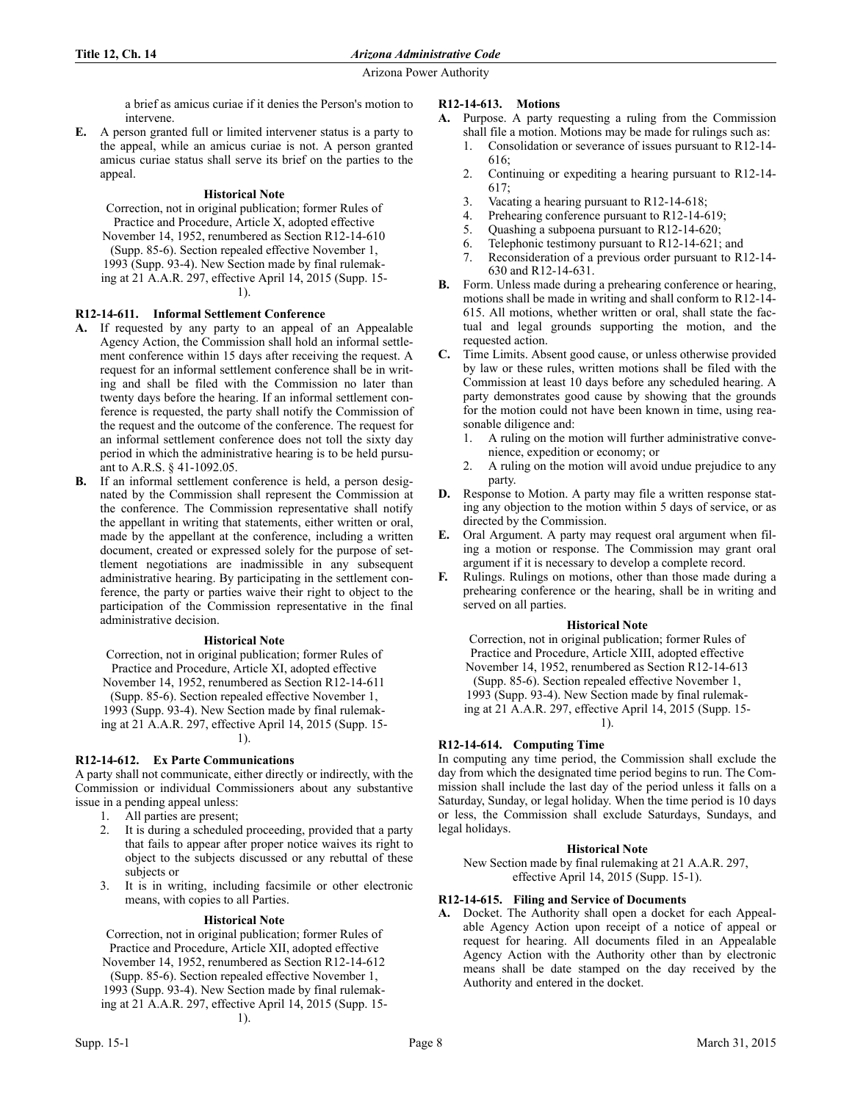a brief as amicus curiae if it denies the Person's motion to intervene.

**E.** A person granted full or limited intervener status is a party to the appeal, while an amicus curiae is not. A person granted amicus curiae status shall serve its brief on the parties to the appeal.

# **Historical Note**

Correction, not in original publication; former Rules of Practice and Procedure, Article X, adopted effective November 14, 1952, renumbered as Section R12-14-610 (Supp. 85-6). Section repealed effective November 1, 1993 (Supp. 93-4). New Section made by final rulemaking at 21 A.A.R. 297, effective April 14, 2015 (Supp. 15- 1).

# **R12-14-611. Informal Settlement Conference**

- **A.** If requested by any party to an appeal of an Appealable Agency Action, the Commission shall hold an informal settlement conference within 15 days after receiving the request. A request for an informal settlement conference shall be in writing and shall be filed with the Commission no later than twenty days before the hearing. If an informal settlement conference is requested, the party shall notify the Commission of the request and the outcome of the conference. The request for an informal settlement conference does not toll the sixty day period in which the administrative hearing is to be held pursuant to A.R.S. § 41-1092.05.
- **B.** If an informal settlement conference is held, a person designated by the Commission shall represent the Commission at the conference. The Commission representative shall notify the appellant in writing that statements, either written or oral, made by the appellant at the conference, including a written document, created or expressed solely for the purpose of settlement negotiations are inadmissible in any subsequent administrative hearing. By participating in the settlement conference, the party or parties waive their right to object to the participation of the Commission representative in the final administrative decision.

## **Historical Note**

Correction, not in original publication; former Rules of Practice and Procedure, Article XI, adopted effective November 14, 1952, renumbered as Section R12-14-611 (Supp. 85-6). Section repealed effective November 1, 1993 (Supp. 93-4). New Section made by final rulemaking at 21 A.A.R. 297, effective April 14, 2015 (Supp. 15- 1).

# **R12-14-612. Ex Parte Communications**

A party shall not communicate, either directly or indirectly, with the Commission or individual Commissioners about any substantive issue in a pending appeal unless:

- 1. All parties are present;
- 2. It is during a scheduled proceeding, provided that a party that fails to appear after proper notice waives its right to object to the subjects discussed or any rebuttal of these subjects or
- 3. It is in writing, including facsimile or other electronic means, with copies to all Parties.

## **Historical Note**

Correction, not in original publication; former Rules of Practice and Procedure, Article XII, adopted effective November 14, 1952, renumbered as Section R12-14-612 (Supp. 85-6). Section repealed effective November 1, 1993 (Supp. 93-4). New Section made by final rulemaking at 21 A.A.R. 297, effective April 14, 2015 (Supp. 15- 1).

- **A.** Purpose. A party requesting a ruling from the Commission shall file a motion. Motions may be made for rulings such as:
	- 1. Consolidation or severance of issues pursuant to R12-14- 616;
	- 2. Continuing or expediting a hearing pursuant to R12-14-  $617$
	- 3. Vacating a hearing pursuant to R12-14-618;
	- 4. Prehearing conference pursuant to R12-14-619;
	- 5. Quashing a subpoena pursuant to R12-14-620;<br>6. Telephonic testimony pursuant to R12-14-621:
	- Telephonic testimony pursuant to R12-14-621; and
	- 7. Reconsideration of a previous order pursuant to R12-14- 630 and R12-14-631.
- **B.** Form. Unless made during a prehearing conference or hearing, motions shall be made in writing and shall conform to R12-14- 615. All motions, whether written or oral, shall state the factual and legal grounds supporting the motion, and the requested action.
- **C.** Time Limits. Absent good cause, or unless otherwise provided by law or these rules, written motions shall be filed with the Commission at least 10 days before any scheduled hearing. A party demonstrates good cause by showing that the grounds for the motion could not have been known in time, using reasonable diligence and:
	- 1. A ruling on the motion will further administrative convenience, expedition or economy; or
	- 2. A ruling on the motion will avoid undue prejudice to any party.
- **D.** Response to Motion. A party may file a written response stating any objection to the motion within 5 days of service, or as directed by the Commission.
- **E.** Oral Argument. A party may request oral argument when filing a motion or response. The Commission may grant oral argument if it is necessary to develop a complete record.
- **F.** Rulings. Rulings on motions, other than those made during a prehearing conference or the hearing, shall be in writing and served on all parties.

## **Historical Note**

Correction, not in original publication; former Rules of Practice and Procedure, Article XIII, adopted effective November 14, 1952, renumbered as Section R12-14-613 (Supp. 85-6). Section repealed effective November 1, 1993 (Supp. 93-4). New Section made by final rulemaking at 21 A.A.R. 297, effective April 14, 2015 (Supp. 15- 1).

# **R12-14-614. Computing Time**

In computing any time period, the Commission shall exclude the day from which the designated time period begins to run. The Commission shall include the last day of the period unless it falls on a Saturday, Sunday, or legal holiday. When the time period is 10 days or less, the Commission shall exclude Saturdays, Sundays, and legal holidays.

## **Historical Note**

New Section made by final rulemaking at 21 A.A.R. 297, effective April 14, 2015 (Supp. 15-1).

# **R12-14-615. Filing and Service of Documents**

**A.** Docket. The Authority shall open a docket for each Appealable Agency Action upon receipt of a notice of appeal or request for hearing. All documents filed in an Appealable Agency Action with the Authority other than by electronic means shall be date stamped on the day received by the Authority and entered in the docket.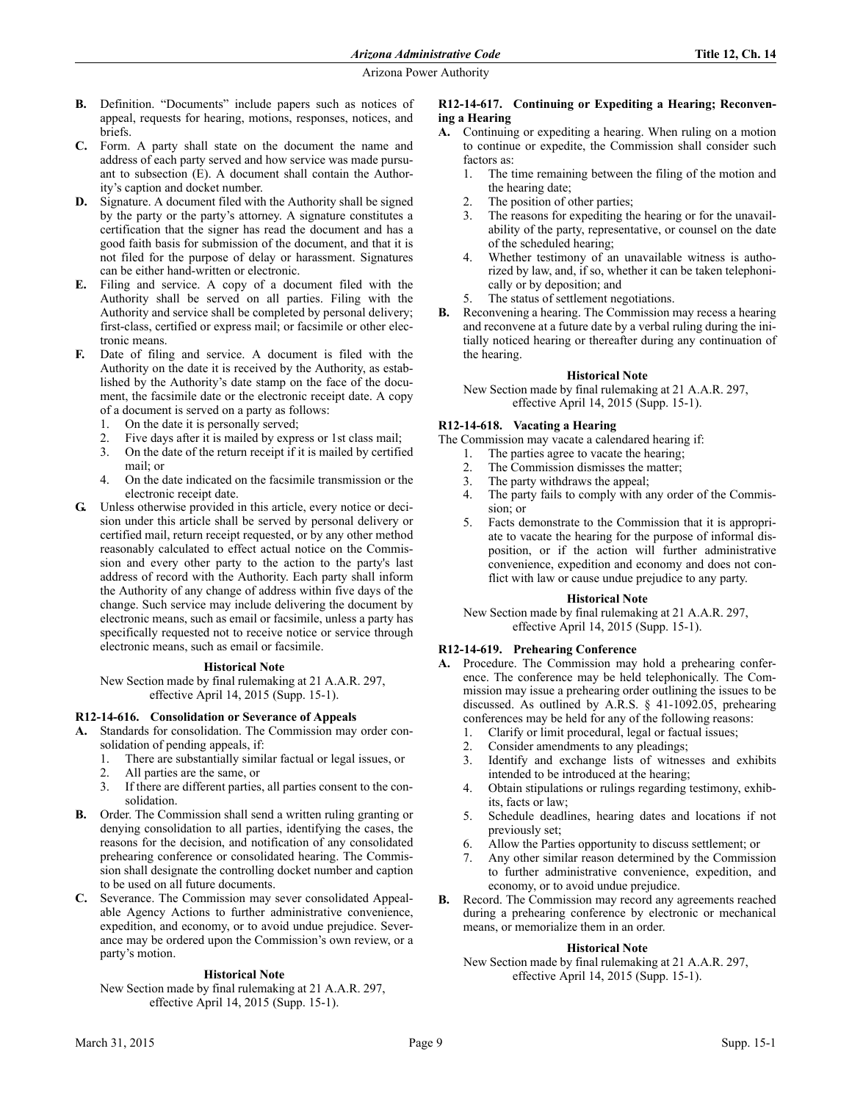- **B.** Definition. "Documents" include papers such as notices of appeal, requests for hearing, motions, responses, notices, and briefs.
- **C.** Form. A party shall state on the document the name and address of each party served and how service was made pursuant to subsection (E). A document shall contain the Authority's caption and docket number.
- **D.** Signature. A document filed with the Authority shall be signed by the party or the party's attorney. A signature constitutes a certification that the signer has read the document and has a good faith basis for submission of the document, and that it is not filed for the purpose of delay or harassment. Signatures can be either hand-written or electronic.
- **E.** Filing and service. A copy of a document filed with the Authority shall be served on all parties. Filing with the Authority and service shall be completed by personal delivery; first-class, certified or express mail; or facsimile or other electronic means.
- **F.** Date of filing and service. A document is filed with the Authority on the date it is received by the Authority, as established by the Authority's date stamp on the face of the document, the facsimile date or the electronic receipt date. A copy of a document is served on a party as follows:
	- 1. On the date it is personally served;
	- 2. Five days after it is mailed by express or 1st class mail;
	- 3. On the date of the return receipt if it is mailed by certified mail; or
	- 4. On the date indicated on the facsimile transmission or the electronic receipt date.
- **G.** Unless otherwise provided in this article, every notice or decision under this article shall be served by personal delivery or certified mail, return receipt requested, or by any other method reasonably calculated to effect actual notice on the Commission and every other party to the action to the party's last address of record with the Authority. Each party shall inform the Authority of any change of address within five days of the change. Such service may include delivering the document by electronic means, such as email or facsimile, unless a party has specifically requested not to receive notice or service through electronic means, such as email or facsimile.

#### **Historical Note**

New Section made by final rulemaking at 21 A.A.R. 297, effective April 14, 2015 (Supp. 15-1).

# **R12-14-616. Consolidation or Severance of Appeals**

- **A.** Standards for consolidation. The Commission may order consolidation of pending appeals, if:
	- 1. There are substantially similar factual or legal issues, or
	- 2. All parties are the same, or
	- 3. If there are different parties, all parties consent to the consolidation.
- **B.** Order. The Commission shall send a written ruling granting or denying consolidation to all parties, identifying the cases, the reasons for the decision, and notification of any consolidated prehearing conference or consolidated hearing. The Commission shall designate the controlling docket number and caption to be used on all future documents.
- **C.** Severance. The Commission may sever consolidated Appealable Agency Actions to further administrative convenience, expedition, and economy, or to avoid undue prejudice. Severance may be ordered upon the Commission's own review, or a party's motion.

## **Historical Note**

New Section made by final rulemaking at 21 A.A.R. 297, effective April 14, 2015 (Supp. 15-1).

## **R12-14-617. Continuing or Expediting a Hearing; Reconvening a Hearing**

- **A.** Continuing or expediting a hearing. When ruling on a motion to continue or expedite, the Commission shall consider such factors as:
	- 1. The time remaining between the filing of the motion and the hearing date;
	- 2. The position of other parties;
	- 3. The reasons for expediting the hearing or for the unavailability of the party, representative, or counsel on the date of the scheduled hearing;
	- 4. Whether testimony of an unavailable witness is authorized by law, and, if so, whether it can be taken telephonically or by deposition; and
	- 5. The status of settlement negotiations.
- **B.** Reconvening a hearing. The Commission may recess a hearing and reconvene at a future date by a verbal ruling during the initially noticed hearing or thereafter during any continuation of the hearing.

## **Historical Note**

New Section made by final rulemaking at 21 A.A.R. 297, effective April 14, 2015 (Supp. 15-1).

## **R12-14-618. Vacating a Hearing**

The Commission may vacate a calendared hearing if:

- 1. The parties agree to vacate the hearing;
- 2. The Commission dismisses the matter;
- 3. The party withdraws the appeal;
- 4. The party fails to comply with any order of the Commission; or
- 5. Facts demonstrate to the Commission that it is appropriate to vacate the hearing for the purpose of informal disposition, or if the action will further administrative convenience, expedition and economy and does not conflict with law or cause undue prejudice to any party.

#### **Historical Note**

New Section made by final rulemaking at 21 A.A.R. 297, effective April 14, 2015 (Supp. 15-1).

## **R12-14-619. Prehearing Conference**

- Procedure. The Commission may hold a prehearing conference. The conference may be held telephonically. The Commission may issue a prehearing order outlining the issues to be discussed. As outlined by A.R.S. § 41-1092.05, prehearing conferences may be held for any of the following reasons:
	- 1. Clarify or limit procedural, legal or factual issues;
	- 2. Consider amendments to any pleadings;
	- 3. Identify and exchange lists of witnesses and exhibits intended to be introduced at the hearing;
	- 4. Obtain stipulations or rulings regarding testimony, exhibits, facts or law;
	- 5. Schedule deadlines, hearing dates and locations if not previously set;
	- 6. Allow the Parties opportunity to discuss settlement; or
	- 7. Any other similar reason determined by the Commission to further administrative convenience, expedition, and economy, or to avoid undue prejudice.
- **B.** Record. The Commission may record any agreements reached during a prehearing conference by electronic or mechanical means, or memorialize them in an order.

## **Historical Note**

New Section made by final rulemaking at 21 A.A.R. 297, effective April 14, 2015 (Supp. 15-1).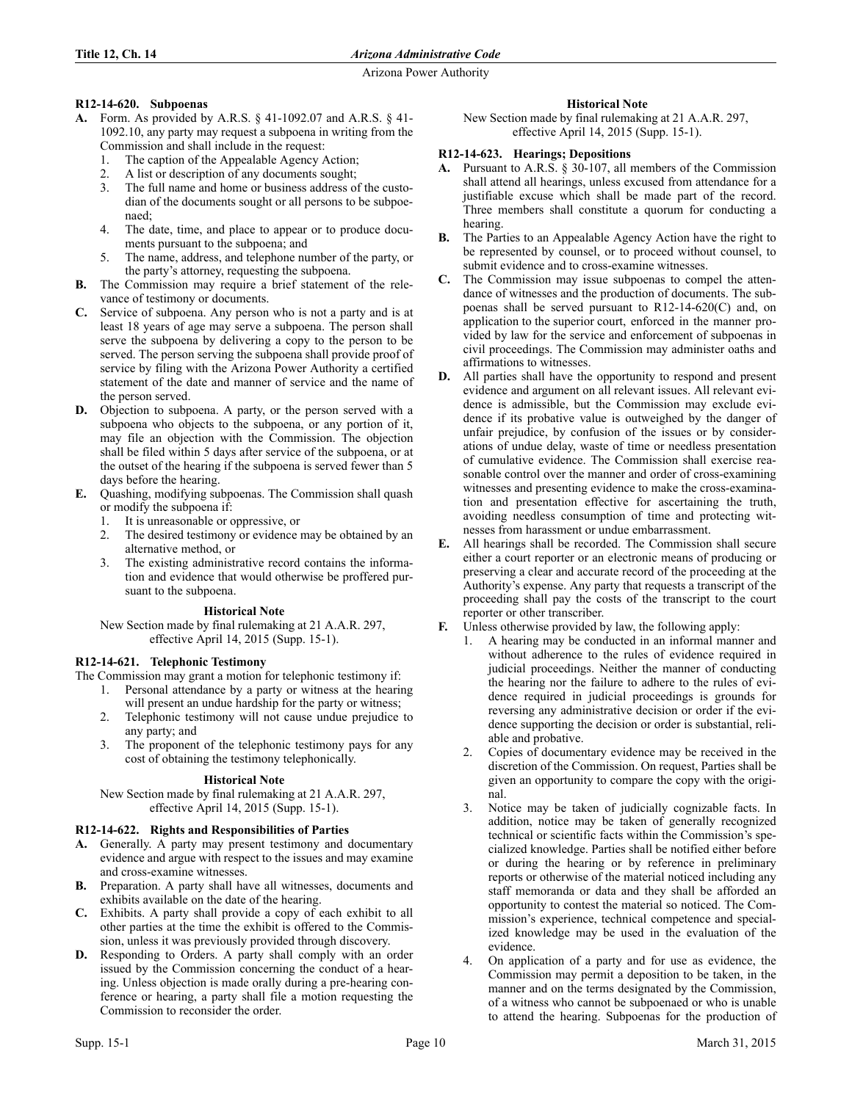# **R12-14-620. Subpoenas**

- **A.** Form. As provided by A.R.S. § 41-1092.07 and A.R.S. § 41- 1092.10, any party may request a subpoena in writing from the Commission and shall include in the request:
	- 1. The caption of the Appealable Agency Action;
	- 2. A list or description of any documents sought;
	- 3. The full name and home or business address of the custodian of the documents sought or all persons to be subpoenaed;
	- 4. The date, time, and place to appear or to produce documents pursuant to the subpoena; and
	- 5. The name, address, and telephone number of the party, or the party's attorney, requesting the subpoena.
- **B.** The Commission may require a brief statement of the relevance of testimony or documents.
- **C.** Service of subpoena. Any person who is not a party and is at least 18 years of age may serve a subpoena. The person shall serve the subpoena by delivering a copy to the person to be served. The person serving the subpoena shall provide proof of service by filing with the Arizona Power Authority a certified statement of the date and manner of service and the name of the person served.
- **D.** Objection to subpoena. A party, or the person served with a subpoena who objects to the subpoena, or any portion of it, may file an objection with the Commission. The objection shall be filed within 5 days after service of the subpoena, or at the outset of the hearing if the subpoena is served fewer than 5 days before the hearing.
- **E.** Quashing, modifying subpoenas. The Commission shall quash or modify the subpoena if:
	- 1. It is unreasonable or oppressive, or
	- 2. The desired testimony or evidence may be obtained by an alternative method, or
	- 3. The existing administrative record contains the information and evidence that would otherwise be proffered pursuant to the subpoena.

# **Historical Note**

New Section made by final rulemaking at 21 A.A.R. 297, effective April 14, 2015 (Supp. 15-1).

# **R12-14-621. Telephonic Testimony**

The Commission may grant a motion for telephonic testimony if:

- 1. Personal attendance by a party or witness at the hearing will present an undue hardship for the party or witness;
- 2. Telephonic testimony will not cause undue prejudice to any party; and
- 3. The proponent of the telephonic testimony pays for any cost of obtaining the testimony telephonically.

# **Historical Note**

New Section made by final rulemaking at 21 A.A.R. 297, effective April 14, 2015 (Supp. 15-1).

# **R12-14-622. Rights and Responsibilities of Parties**

- **A.** Generally. A party may present testimony and documentary evidence and argue with respect to the issues and may examine and cross-examine witnesses.
- **B.** Preparation. A party shall have all witnesses, documents and exhibits available on the date of the hearing.
- **C.** Exhibits. A party shall provide a copy of each exhibit to all other parties at the time the exhibit is offered to the Commission, unless it was previously provided through discovery.
- **D.** Responding to Orders. A party shall comply with an order issued by the Commission concerning the conduct of a hearing. Unless objection is made orally during a pre-hearing conference or hearing, a party shall file a motion requesting the Commission to reconsider the order.

# **Historical Note**

New Section made by final rulemaking at 21 A.A.R. 297, effective April 14, 2015 (Supp. 15-1).

# **R12-14-623. Hearings; Depositions**

- **A.** Pursuant to A.R.S. § 30-107, all members of the Commission shall attend all hearings, unless excused from attendance for a justifiable excuse which shall be made part of the record. Three members shall constitute a quorum for conducting a hearing.
- **B.** The Parties to an Appealable Agency Action have the right to be represented by counsel, or to proceed without counsel, to submit evidence and to cross-examine witnesses.
- **C.** The Commission may issue subpoenas to compel the attendance of witnesses and the production of documents. The subpoenas shall be served pursuant to R12-14-620(C) and, on application to the superior court, enforced in the manner provided by law for the service and enforcement of subpoenas in civil proceedings. The Commission may administer oaths and affirmations to witnesses.
- **D.** All parties shall have the opportunity to respond and present evidence and argument on all relevant issues. All relevant evidence is admissible, but the Commission may exclude evidence if its probative value is outweighed by the danger of unfair prejudice, by confusion of the issues or by considerations of undue delay, waste of time or needless presentation of cumulative evidence. The Commission shall exercise reasonable control over the manner and order of cross-examining witnesses and presenting evidence to make the cross-examination and presentation effective for ascertaining the truth, avoiding needless consumption of time and protecting witnesses from harassment or undue embarrassment.
- **E.** All hearings shall be recorded. The Commission shall secure either a court reporter or an electronic means of producing or preserving a clear and accurate record of the proceeding at the Authority's expense. Any party that requests a transcript of the proceeding shall pay the costs of the transcript to the court reporter or other transcriber.
- **F.** Unless otherwise provided by law, the following apply:
	- 1. A hearing may be conducted in an informal manner and without adherence to the rules of evidence required in judicial proceedings. Neither the manner of conducting the hearing nor the failure to adhere to the rules of evidence required in judicial proceedings is grounds for reversing any administrative decision or order if the evidence supporting the decision or order is substantial, reliable and probative.
	- 2. Copies of documentary evidence may be received in the discretion of the Commission. On request, Parties shall be given an opportunity to compare the copy with the original.
	- 3. Notice may be taken of judicially cognizable facts. In addition, notice may be taken of generally recognized technical or scientific facts within the Commission's specialized knowledge. Parties shall be notified either before or during the hearing or by reference in preliminary reports or otherwise of the material noticed including any staff memoranda or data and they shall be afforded an opportunity to contest the material so noticed. The Commission's experience, technical competence and specialized knowledge may be used in the evaluation of the evidence.
	- 4. On application of a party and for use as evidence, the Commission may permit a deposition to be taken, in the manner and on the terms designated by the Commission, of a witness who cannot be subpoenaed or who is unable to attend the hearing. Subpoenas for the production of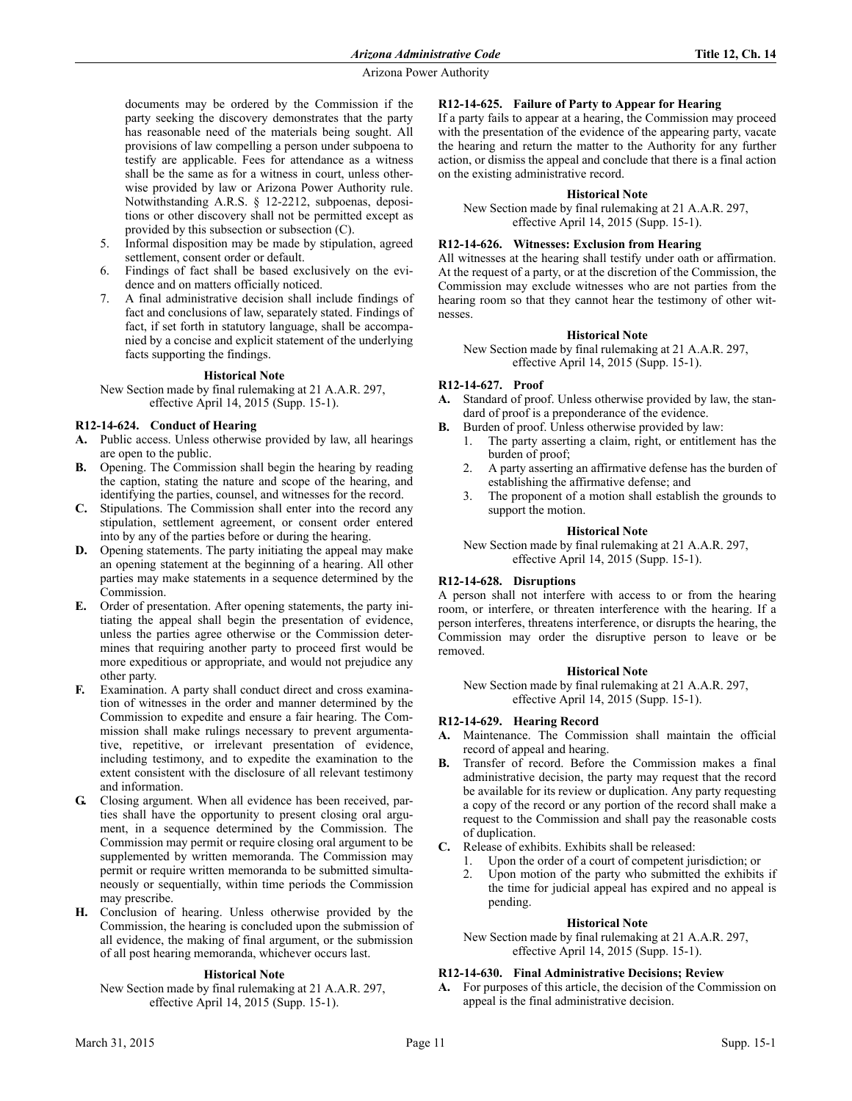documents may be ordered by the Commission if the party seeking the discovery demonstrates that the party has reasonable need of the materials being sought. All provisions of law compelling a person under subpoena to testify are applicable. Fees for attendance as a witness shall be the same as for a witness in court, unless otherwise provided by law or Arizona Power Authority rule. Notwithstanding A.R.S. § 12-2212, subpoenas, depositions or other discovery shall not be permitted except as provided by this subsection or subsection (C).

- 5. Informal disposition may be made by stipulation, agreed settlement, consent order or default.
- 6. Findings of fact shall be based exclusively on the evidence and on matters officially noticed.
- 7. A final administrative decision shall include findings of fact and conclusions of law, separately stated. Findings of fact, if set forth in statutory language, shall be accompanied by a concise and explicit statement of the underlying facts supporting the findings.

## **Historical Note**

New Section made by final rulemaking at 21 A.A.R. 297, effective April 14, 2015 (Supp. 15-1).

# **R12-14-624. Conduct of Hearing**

- **A.** Public access. Unless otherwise provided by law, all hearings are open to the public.
- **B.** Opening. The Commission shall begin the hearing by reading the caption, stating the nature and scope of the hearing, and identifying the parties, counsel, and witnesses for the record.
- **C.** Stipulations. The Commission shall enter into the record any stipulation, settlement agreement, or consent order entered into by any of the parties before or during the hearing.
- **D.** Opening statements. The party initiating the appeal may make an opening statement at the beginning of a hearing. All other parties may make statements in a sequence determined by the **Commission**
- **E.** Order of presentation. After opening statements, the party initiating the appeal shall begin the presentation of evidence, unless the parties agree otherwise or the Commission determines that requiring another party to proceed first would be more expeditious or appropriate, and would not prejudice any other party.
- **F.** Examination. A party shall conduct direct and cross examination of witnesses in the order and manner determined by the Commission to expedite and ensure a fair hearing. The Commission shall make rulings necessary to prevent argumentative, repetitive, or irrelevant presentation of evidence, including testimony, and to expedite the examination to the extent consistent with the disclosure of all relevant testimony and information.
- **G.** Closing argument. When all evidence has been received, parties shall have the opportunity to present closing oral argument, in a sequence determined by the Commission. The Commission may permit or require closing oral argument to be supplemented by written memoranda. The Commission may permit or require written memoranda to be submitted simultaneously or sequentially, within time periods the Commission may prescribe.
- **H.** Conclusion of hearing. Unless otherwise provided by the Commission, the hearing is concluded upon the submission of all evidence, the making of final argument, or the submission of all post hearing memoranda, whichever occurs last.

## **Historical Note**

New Section made by final rulemaking at 21 A.A.R. 297, effective April 14, 2015 (Supp. 15-1).

# **R12-14-625. Failure of Party to Appear for Hearing**

If a party fails to appear at a hearing, the Commission may proceed with the presentation of the evidence of the appearing party, vacate the hearing and return the matter to the Authority for any further action, or dismiss the appeal and conclude that there is a final action on the existing administrative record.

# **Historical Note**

New Section made by final rulemaking at 21 A.A.R. 297, effective April 14, 2015 (Supp. 15-1).

# **R12-14-626. Witnesses: Exclusion from Hearing**

All witnesses at the hearing shall testify under oath or affirmation. At the request of a party, or at the discretion of the Commission, the Commission may exclude witnesses who are not parties from the hearing room so that they cannot hear the testimony of other witnesses.

# **Historical Note**

New Section made by final rulemaking at 21 A.A.R. 297, effective April 14, 2015 (Supp. 15-1).

# **R12-14-627. Proof**

- **A.** Standard of proof. Unless otherwise provided by law, the standard of proof is a preponderance of the evidence.
- **B.** Burden of proof. Unless otherwise provided by law:
	- 1. The party asserting a claim, right, or entitlement has the burden of proof;
	- 2. A party asserting an affirmative defense has the burden of establishing the affirmative defense; and
	- 3. The proponent of a motion shall establish the grounds to support the motion.

## **Historical Note**

New Section made by final rulemaking at 21 A.A.R. 297, effective April 14, 2015 (Supp. 15-1).

# **R12-14-628. Disruptions**

A person shall not interfere with access to or from the hearing room, or interfere, or threaten interference with the hearing. If a person interferes, threatens interference, or disrupts the hearing, the Commission may order the disruptive person to leave or be removed.

## **Historical Note**

New Section made by final rulemaking at 21 A.A.R. 297, effective April 14, 2015 (Supp. 15-1).

## **R12-14-629. Hearing Record**

- **A.** Maintenance. The Commission shall maintain the official record of appeal and hearing.
- **B.** Transfer of record. Before the Commission makes a final administrative decision, the party may request that the record be available for its review or duplication. Any party requesting a copy of the record or any portion of the record shall make a request to the Commission and shall pay the reasonable costs of duplication.
- **C.** Release of exhibits. Exhibits shall be released:
	- 1. Upon the order of a court of competent jurisdiction; or
	- 2. Upon motion of the party who submitted the exhibits if the time for judicial appeal has expired and no appeal is pending.

## **Historical Note**

New Section made by final rulemaking at 21 A.A.R. 297, effective April 14, 2015 (Supp. 15-1).

## **R12-14-630. Final Administrative Decisions; Review**

**A.** For purposes of this article, the decision of the Commission on appeal is the final administrative decision.